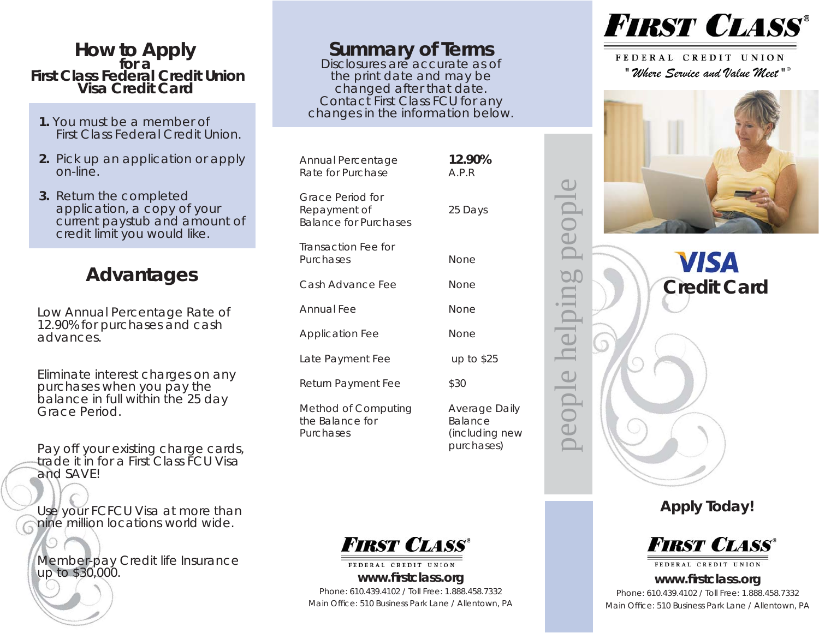## **How to Apply for a First Class Federal Credit UnionVisa Credit Card**

- **1.** You must be a member ofFirst Class Federal Credit Union.
- **2.** Pick up an application or apply on-line.
- **3.** Return the completec application, a copy of your current paystub and amount of credit limit you would like.

## **Advantages**

Low Annual Percentage Rate of 12.90% for purchases and cash advances.

Eliminate interest charges on any purchases when you pay the balance in full within the 25 day Grace Period.

Pay off your existing charge cards, trade it in for a First Class FCU Visa and SAVE!

Use your FCFCU Visa at more than nine million locations world wide.

Member-pay Credit life Insurance up to \$30,000.

## **Summary of Terms**<br>Disclosures are accurate as of

the print date and may be changed after that date. Contact First Class FCU for any changes in the information below.

| Annual Percentage<br>Rate for Purchase                                  | 12.90%<br>A.P.R                                          |
|-------------------------------------------------------------------------|----------------------------------------------------------|
| <b>Grace Period for</b><br>Repayment of<br><b>Balance for Purchases</b> | 25 Days                                                  |
| <b>Transaction Fee for</b><br>Purchases                                 | None                                                     |
| Cash Advance Fee                                                        | None                                                     |
| Annual Fee                                                              | None                                                     |
| <b>Application Fee</b>                                                  | None                                                     |
| Late Payment Fee                                                        | up to $$25$                                              |
| Return Payment Fee                                                      | \$30                                                     |
| Method of Computing<br>the Balance for<br>Purchases                     | Average Daily<br>Balance<br>(including new<br>purchases) |



FEDERAL CREDIT UNION **www. fi rstclass.org** Phone: 610.439.4102 / Toll Free: 1.888.458.7332Main Office: 510 Business Park Lane / Allentown, PA



FEDERAL CREDIT UNION *" Where Service and Value Meet " ®*



**VISA Credit Card**

people helping people

hel

in

5

people

**Apply Today!** 



## **www. fi rstclass.org** Phone: 610.439.4102 / Toll Free: 1.888.458.7332Main Office: 510 Business Park Lane / Allentown, PA